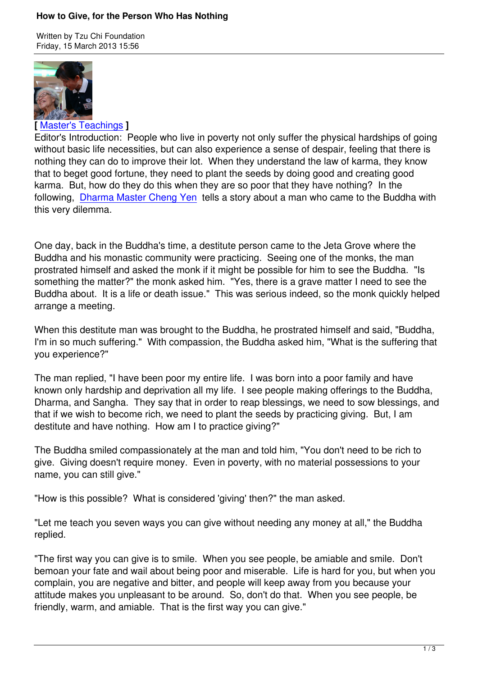

**[** Master's Teachings **]**

Editor's Introduction: People who live in poverty not only suffer the physical hardships of going without basic life necessities, but can also experience a sense of despair, feeling that there is n[othing they can do t](index.php?option=com_content&view=category&layout=blog&id=82&Itemid=199&lang=en)o improve their lot. When they understand the law of karma, they know that to beget good fortune, they need to plant the seeds by doing good and creating good karma. But, how do they do this when they are so poor that they have nothing? In the following, Dharma Master Cheng Yen tells a story about a man who came to the Buddha with this very dilemma.

One day, [back in the Buddha's time, a](index.php?option=com_content&view=section&layout=blog&id=13&Itemid=197&lang=en) destitute person came to the Jeta Grove where the Buddha and his monastic community were practicing. Seeing one of the monks, the man prostrated himself and asked the monk if it might be possible for him to see the Buddha. "Is something the matter?" the monk asked him. "Yes, there is a grave matter I need to see the Buddha about. It is a life or death issue." This was serious indeed, so the monk quickly helped arrange a meeting.

When this destitute man was brought to the Buddha, he prostrated himself and said, "Buddha, I'm in so much suffering." With compassion, the Buddha asked him, "What is the suffering that you experience?"

The man replied, "I have been poor my entire life. I was born into a poor family and have known only hardship and deprivation all my life. I see people making offerings to the Buddha, Dharma, and Sangha. They say that in order to reap blessings, we need to sow blessings, and that if we wish to become rich, we need to plant the seeds by practicing giving. But, I am destitute and have nothing. How am I to practice giving?"

The Buddha smiled compassionately at the man and told him, "You don't need to be rich to give. Giving doesn't require money. Even in poverty, with no material possessions to your name, you can still give."

"How is this possible? What is considered 'giving' then?" the man asked.

"Let me teach you seven ways you can give without needing any money at all," the Buddha replied.

"The first way you can give is to smile. When you see people, be amiable and smile. Don't bemoan your fate and wail about being poor and miserable. Life is hard for you, but when you complain, you are negative and bitter, and people will keep away from you because your attitude makes you unpleasant to be around. So, don't do that. When you see people, be friendly, warm, and amiable. That is the first way you can give."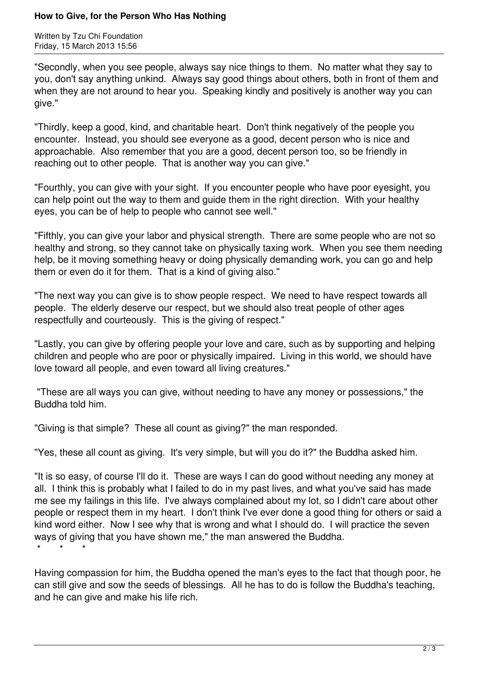## **How to Give, for the Person Who Has Nothing**

Written by Tzu Chi Foundation Friday, 15 March 2013 15:56

"Secondly, when you see people, always say nice things to them. No matter what they say to you, don't say anything unkind. Always say good things about others, both in front of them and when they are not around to hear you. Speaking kindly and positively is another way you can give."

"Thirdly, keep a good, kind, and charitable heart. Don't think negatively of the people you encounter. Instead, you should see everyone as a good, decent person who is nice and approachable. Also remember that you are a good, decent person too, so be friendly in reaching out to other people. That is another way you can give."

"Fourthly, you can give with your sight. If you encounter people who have poor eyesight, you can help point out the way to them and guide them in the right direction. With your healthy eyes, you can be of help to people who cannot see well."

"Fifthly, you can give your labor and physical strength. There are some people who are not so healthy and strong, so they cannot take on physically taxing work. When you see them needing help, be it moving something heavy or doing physically demanding work, you can go and help them or even do it for them. That is a kind of giving also."

"The next way you can give is to show people respect. We need to have respect towards all people. The elderly deserve our respect, but we should also treat people of other ages respectfully and courteously. This is the giving of respect."

"Lastly, you can give by offering people your love and care, such as by supporting and helping children and people who are poor or physically impaired. Living in this world, we should have love toward all people, and even toward all living creatures."

 "These are all ways you can give, without needing to have any money or possessions," the Buddha told him.

"Giving is that simple? These all count as giving?" the man responded.

"Yes, these all count as giving. It's very simple, but will you do it?" the Buddha asked him.

"It is so easy, of course I'll do it. These are ways I can do good without needing any money at all. I think this is probably what I failed to do in my past lives, and what you've said has made me see my failings in this life. I've always complained about my lot, so I didn't care about other people or respect them in my heart. I don't think I've ever done a good thing for others or said a kind word either. Now I see why that is wrong and what I should do. I will practice the seven ways of giving that you have shown me," the man answered the Buddha. \* \* \*

Having compassion for him, the Buddha opened the man's eyes to the fact that though poor, he can still give and sow the seeds of blessings. All he has to do is follow the Buddha's teaching, and he can give and make his life rich.